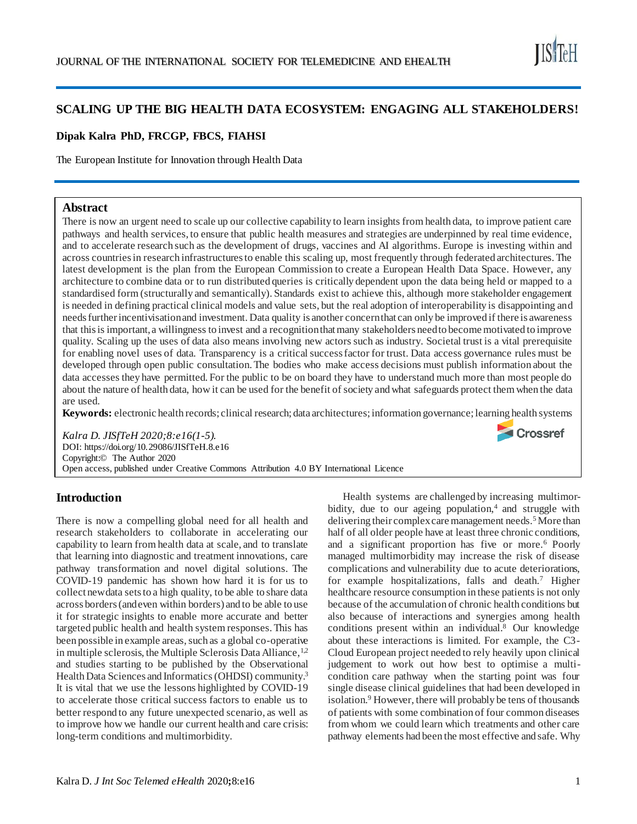

**■ Crossref** 

# **SCALING UP THE BIG HEALTH DATA ECOSYSTEM: ENGAGING ALL STAKEHOLDERS!**

#### **Dipak Kalra PhD, FRCGP, FBCS, FIAHSI**

The European Institute for Innovation through Health Data

### **Abstract**

There is now an urgent need to scale up our collective capability to learn insights from health data, to improve patient care pathways and health services, to ensure that public health measures and strategies are underpinned by real time evidence, and to accelerate research such as the development of drugs, vaccines and AI algorithms. Europe is investing within and across countries in research infrastructures to enable this scaling up, most frequently through federated architectures. The latest development is the plan from the European Commission to create a European Health Data Space. However, any architecture to combine data or to run distributed queries is critically dependent upon the data being held or mapped to a standardised form (structurally and semantically). Standards exist to achieve this, although more stakeholder engagement is needed in defining practical clinical models and value sets, but the real adoption of interoperability is disappointing and needs further incentivisation and investment. Data quality is another concern that can only be improved if there is awareness that this is important, a willingness to invest and a recognition that many stakeholders need to become motivated to improve quality. Scaling up the uses of data also means involving new actors such as industry. Societal trust is a vital prerequisite for enabling novel uses of data. Transparency is a critical success factor for trust. Data access governance rules must be developed through open public consultation. The bodies who make access decisions must publish information about the data accesses they have permitted. For the public to be on board they have to understand much more than most people do about the nature of health data, how it can be used for the benefit of society and what safeguards protect them when the data are used.

**Keywords:** electronic health records; clinical research; data architectures; information governance; learning health systems

*Kalra D. JISfTeH 2020;8:e16(1-5).*  DOI: https://doi.org/10.29086/JISfTeH.8.e16 Copyright:© The Author 2020 Open access, published under Creative Commons Attribution 4.0 BY International Licence

#### **Introduction**

There is now a compelling global need for all health and research stakeholders to collaborate in accelerating our capability to learn from health data at scale, and to translate that learning into diagnostic and treatment innovations, care pathway transformation and novel digital solutions. The COVID-19 pandemic has shown how hard it is for us to collect new data sets to a high quality, to be able to share data across borders (and even within borders) and to be able to use it for strategic insights to enable more accurate and better targeted public health and health system responses. This has been possible in example areas, such as a global co-operative in multiple sclerosis, the Multiple Sclerosis Data Alliance,  $1,2$ and studies starting to be published by the Observational Health Data Sciences and Informatics(OHDSI) community.<sup>3</sup> It is vital that we use the lessons highlighted by COVID-19 to accelerate those critical success factors to enable us to better respond to any future unexpected scenario, as well as to improve how we handle our current health and care crisis: long-term conditions and multimorbidity.

Health systems are challenged by increasing multimorbidity, due to our ageing population, $4$  and struggle with delivering their complex care management needs.<sup>5</sup> More than half of all older people have at least three chronic conditions, and a significant proportion has five or more.<sup>6</sup> Poorly managed multimorbidity may increase the risk of disease complications and vulnerability due to acute deteriorations, for example hospitalizations, falls and death.<sup>7</sup> Higher healthcare resource consumption in these patients is not only because of the accumulation of chronic health conditions but also because of interactions and synergies among health conditions present within an individual.<sup>8</sup> Our knowledge about these interactions is limited. For example, the C3- Cloud European project needed to rely heavily upon clinical judgement to work out how best to optimise a multicondition care pathway when the starting point was four single disease clinical guidelines that had been developed in isolation.<sup>9</sup> However, there will probably be tens of thousands of patients with some combination of four common diseases from whom we could learn which treatments and other care pathway elements had been the most effective and safe. Why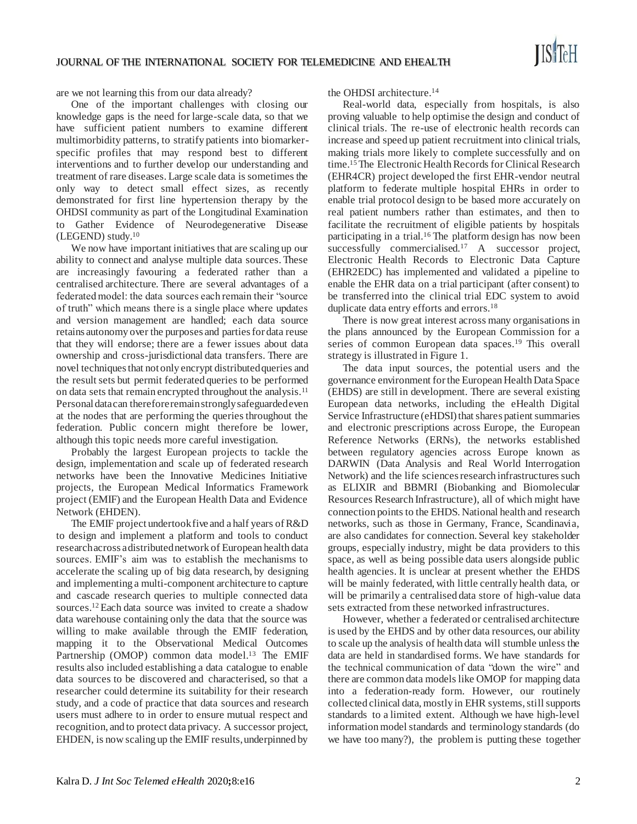are we not learning this from our data already?

One of the important challenges with closing our knowledge gaps is the need for large-scale data, so that we have sufficient patient numbers to examine different multimorbidity patterns, to stratify patients into biomarkerspecific profiles that may respond best to different interventions and to further develop our understanding and treatment of rare diseases. Large scale data is sometimes the only way to detect small effect sizes, as recently demonstrated for first line hypertension therapy by the OHDSI community as part of the Longitudinal Examination to Gather Evidence of Neurodegenerative Disease (LEGEND) study.<sup>10</sup>

We now have important initiatives that are scaling up our ability to connect and analyse multiple data sources. These are increasingly favouring a federated rather than a centralised architecture. There are several advantages of a federated model: the data sources each remain their "source of truth" which means there is a single place where updates and version management are handled; each data source retains autonomy over the purposes and parties for data reuse that they will endorse; there are a fewer issues about data ownership and cross-jurisdictional data transfers. There are novel techniques that not only encrypt distributed queries and the result sets but permit federated queries to be performed on data sets that remain encrypted throughout the analysis.<sup>11</sup> Personal data can therefore remain strongly safeguarded even at the nodes that are performing the queries throughout the federation. Public concern might therefore be lower, although this topic needs more careful investigation.

Probably the largest European projects to tackle the design, implementation and scale up of federated research networks have been the Innovative Medicines Initiative projects, the European Medical Informatics Framework project (EMIF) and the European Health Data and Evidence Network (EHDEN).

The EMIF project undertook five and a half years of R&D to design and implement a platform and tools to conduct research across a distributed network of European health data sources. EMIF's aim was to establish the mechanisms to accelerate the scaling up of big data research, by designing and implementing a multi-component architecture to capture and cascade research queries to multiple connected data sources.<sup>12</sup>Each data source was invited to create a shadow data warehouse containing only the data that the source was willing to make available through the EMIF federation, mapping it to the Observational Medical Outcomes Partnership (OMOP) common data model.<sup>13</sup> The EMIF results also included establishing a data catalogue to enable data sources to be discovered and characterised, so that a researcher could determine its suitability for their research study, and a code of practice that data sources and research users must adhere to in order to ensure mutual respect and recognition, and to protect data privacy. A successor project, EHDEN, is now scaling up the EMIF results, underpinned by the OHDSI architecture.<sup>14</sup>

Real-world data, especially from hospitals, is also proving valuable to help optimise the design and conduct of clinical trials. The re-use of electronic health records can increase and speed up patient recruitment into clinical trials, making trials more likely to complete successfully and on time.<sup>15</sup>The Electronic Health Records for Clinical Research (EHR4CR) project developed the first EHR-vendor neutral platform to federate multiple hospital EHRs in order to enable trial protocol design to be based more accurately on real patient numbers rather than estimates, and then to facilitate the recruitment of eligible patients by hospitals participating in a trial.<sup>16</sup> The platform design has now been successfully commercialised.<sup>17</sup> A successor project, Electronic Health Records to Electronic Data Capture (EHR2EDC) has implemented and validated a pipeline to enable the EHR data on a trial participant (after consent) to be transferred into the clinical trial EDC system to avoid duplicate data entry efforts and errors.<sup>18</sup>

There is now great interest across many organisations in the plans announced by the European Commission for a series of common European data spaces.<sup>19</sup> This overall strategy is illustrated in Figure 1.

The data input sources, the potential users and the governance environment for the European Health Data Space (EHDS) are still in development. There are several existing European data networks, including the eHealth Digital Service Infrastructure (eHDSI) that shares patient summaries and electronic prescriptions across Europe, the European Reference Networks (ERNs), the networks established between regulatory agencies across Europe known as DARWIN (Data Analysis and Real World Interrogation Network) and the life sciences research infrastructures such as ELIXIR and BBMRI (Biobanking and Biomolecular Resources Research Infrastructure), all of which might have connection points to the EHDS. National health and research networks, such as those in Germany, France, Scandinavia, are also candidates for connection. Several key stakeholder groups, especially industry, might be data providers to this space, as well as being possible data users alongside public health agencies. It is unclear at present whether the EHDS will be mainly federated, with little centrally health data, or will be primarily a centralised data store of high-value data sets extracted from these networked infrastructures.

However, whether a federated or centralised architecture is used by the EHDS and by other data resources, our ability to scale up the analysis of health data will stumble unless the data are held in standardised forms. We have standards for the technical communication of data "down the wire" and there are common data models like OMOP for mapping data into a federation-ready form. However, our routinely collected clinical data, mostly in EHR systems, still supports standards to a limited extent. Although we have high-level information model standards and terminology standards (do we have too many?), the problem is putting these together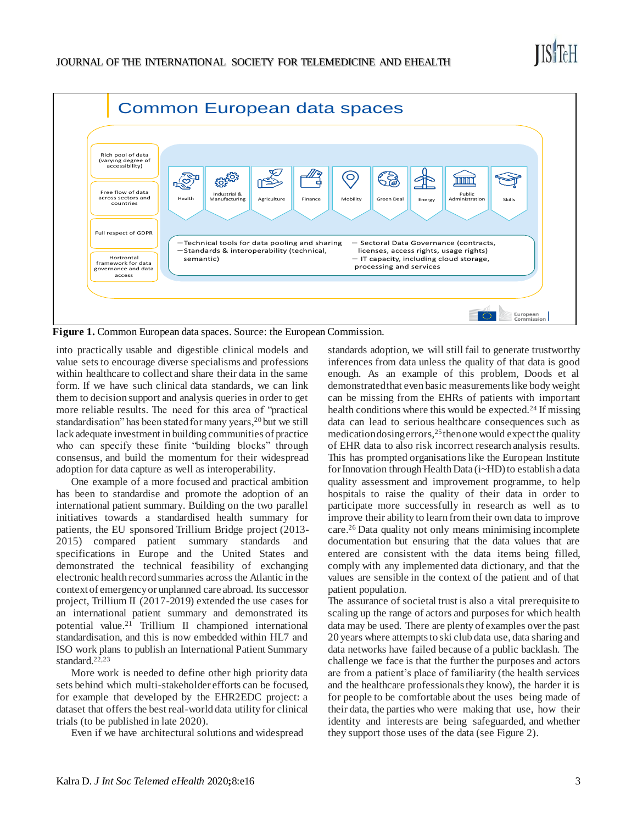

**Figure 1.** Common European data spaces. Source: the European Commission.

into practically usable and digestible clinical models and value sets to encourage diverse specialisms and professions within healthcare to collect and share their data in the same form. If we have such clinical data standards, we can link them to decision support and analysis queries in order to get more reliable results. The need for this area of "practical standardisation" has been stated for many years,<sup>20</sup> but we still lack adequate investment in building communities of practice who can specify these finite "building blocks" through consensus, and build the momentum for their widespread adoption for data capture as well as interoperability.

One example of a more focused and practical ambition has been to standardise and promote the adoption of an international patient summary. Building on the two parallel initiatives towards a standardised health summary for patients, the EU sponsored Trillium Bridge project (2013- 2015) compared patient summary standards and specifications in Europe and the United States and demonstrated the technical feasibility of exchanging electronic health record summaries across the Atlantic in the context of emergency or unplanned care abroad. Its successor project, Trillium II (2017-2019) extended the use cases for an international patient summary and demonstrated its potential value.<sup>21</sup> Trillium II championed international standardisation, and this is now embedded within HL7 and ISO work plans to publish an International Patient Summary standard.<sup>22,23</sup>

More work is needed to define other high priority data sets behind which multi-stakeholder efforts can be focused, for example that developed by the EHR2EDC project: a dataset that offers the best real-world data utility for clinical trials (to be published in late 2020).

Even if we have architectural solutions and widespread

standards adoption, we will still fail to generate trustworthy inferences from data unless the quality of that data is good enough. As an example of this problem, Doods et al demonstrated that even basic measurements like body weight can be missing from the EHRs of patients with important health conditions where this would be expected.<sup>24</sup> If missing data can lead to serious healthcare consequences such as medication dosing errors,  $25$  then one would expect the quality of EHR data to also risk incorrect research analysis results. This has prompted organisations like the European Institute for Innovation through Health Data (i~HD) to establish a data quality assessment and improvement programme, to help hospitals to raise the quality of their data in order to participate more successfully in research as well as to improve their ability to learn from their own data to improve care.<sup>26</sup> Data quality not only means minimising incomplete documentation but ensuring that the data values that are entered are consistent with the data items being filled, comply with any implemented data dictionary, and that the values are sensible in the context of the patient and of that patient population.

The assurance of societal trust is also a vital prerequisite to scaling up the range of actors and purposes for which health data may be used. There are plenty of examples over the past 20 years where attempts to ski club data use, data sharing and data networks have failed because of a public backlash. The challenge we face is that the further the purposes and actors are from a patient's place of familiarity (the health services and the healthcare professionals they know), the harder it is for people to be comfortable about the uses being made of their data, the parties who were making that use, how their identity and interests are being safeguarded, and whether they support those uses of the data (see Figure 2).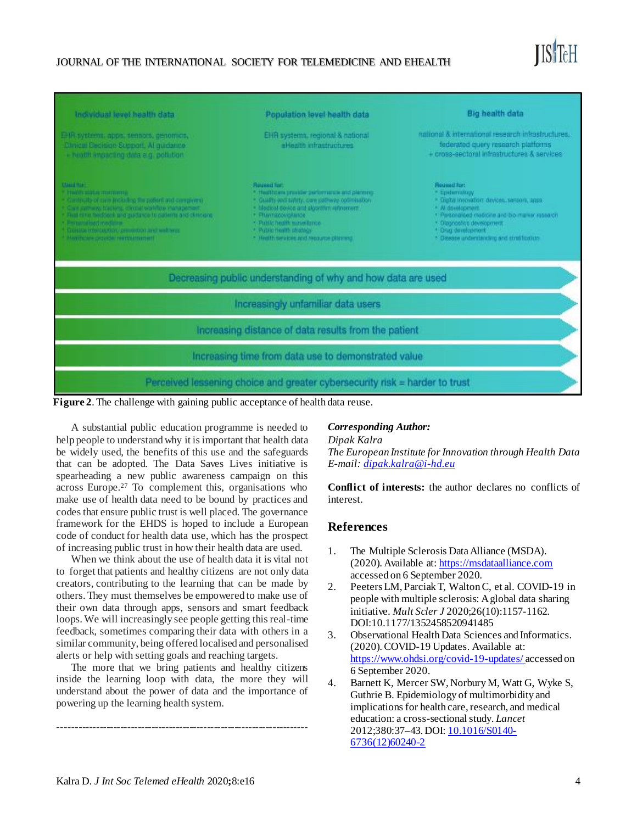## JOURNAL OF THE INTERNATIONAL SOCIETY FOR TELEMEDICINE AND EHEALTH



| Individual level health data                                                                                                                                                                                                                                                                                                                                     | Population level health data                                                                                                                                                                                                                                                                      | <b>Big health data</b>                                                                                                                                                                                                                                 |
|------------------------------------------------------------------------------------------------------------------------------------------------------------------------------------------------------------------------------------------------------------------------------------------------------------------------------------------------------------------|---------------------------------------------------------------------------------------------------------------------------------------------------------------------------------------------------------------------------------------------------------------------------------------------------|--------------------------------------------------------------------------------------------------------------------------------------------------------------------------------------------------------------------------------------------------------|
| EHR systems, apps, sensors, genomics,<br>Clinical Decision Support. Al quidance<br>+ health impacting data a.g. pollution                                                                                                                                                                                                                                        | EHR systems, regional & national<br>eHesith infrastructures                                                                                                                                                                                                                                       | national & international research infrastructures.<br>federated query research platforms<br>+ cross-sectoral infrastructures & services                                                                                                                |
| <b>Mauditor</b><br>Principal and Los Hold Electronics<br>· Cardinally of care including the pollent and campions)<br>Carl survey backets, circuit workby management.<br>· Fixal dime fleidbock and guildance to paderna and clinicians<br><b>A Primary Bellingtone</b><br>Glossie interception, prevention and web eras<br>here in the property reserves and the | <b>Reused for:</b><br>* Healthcare provider performance and planning.<br>· Gualty and safety, care pathway optimisation<br>· Medical device and algorithm infinement.<br>· Phannacoviolance<br>· Public health surveillance<br>* Public health shategy<br>* Health services and recourse planning | Reussel for:<br>* Epidematicav<br>· Cigal innovation: devices, sessors, apps)<br>* All development<br>· Parschalled medicine and bio-market research<br>· Diponostics development<br>+ Drug development<br>* Disease understanding and stratification. |
|                                                                                                                                                                                                                                                                                                                                                                  | Decreasing public understanding of why and how data are used                                                                                                                                                                                                                                      |                                                                                                                                                                                                                                                        |
|                                                                                                                                                                                                                                                                                                                                                                  | Increasingly unfamiliar data users                                                                                                                                                                                                                                                                |                                                                                                                                                                                                                                                        |
|                                                                                                                                                                                                                                                                                                                                                                  | Increasing distance of data results from the patient                                                                                                                                                                                                                                              |                                                                                                                                                                                                                                                        |
|                                                                                                                                                                                                                                                                                                                                                                  | Increasing time from data use to demonstrated value                                                                                                                                                                                                                                               |                                                                                                                                                                                                                                                        |
|                                                                                                                                                                                                                                                                                                                                                                  | Perceived lessening choice and greater cybersecurity risk = harder to trust                                                                                                                                                                                                                       |                                                                                                                                                                                                                                                        |



A substantial public education programme is needed to help people to understand why it is important that health data be widely used, the benefits of this use and the safeguards that can be adopted. The Data Saves Lives initiative is spearheading a new public awareness campaign on this across Europe.<sup>27</sup> To complement this, organisations who make use of health data need to be bound by practices and codes that ensure public trust is well placed. The governance framework for the EHDS is hoped to include a European code of conduct for health data use, which has the prospect of increasing public trust in how their health data are used.

When we think about the use of health data it is vital not to forget that patients and healthy citizens are not only data creators, contributing to the learning that can be made by others. They must themselves be empowered to make use of their own data through apps, sensors and smart feedback loops. We will increasingly see people getting this real-time feedback, sometimes comparing their data with others in a similar community, being offered localised and personalised alerts or help with setting goals and reaching targets.

The more that we bring patients and healthy citizens inside the learning loop with data, the more they will understand about the power of data and the importance of powering up the learning health system.

------------------------------------------------------------------------

#### *Corresponding Author:*

*Dipak Kalra The European Institute forInnovation through Health Data E-mail: dipak.kalra@i-hd.eu*

**Conflict of interests:** the author declares no conflicts of interest.

## **References**

- 1. The Multiple Sclerosis Data Alliance (MSDA). (2020). Available at[: https://msdataalliance.com](https://msdataalliance.com/) accessed on 6 September 2020.
- 2. Peeters LM, Parciak T, Walton C, et al. COVID-19 in people with multiple sclerosis: A global data sharing initiative. *Mult Scler J* 2020;26(10):1157-1162. DOI:10.1177/1352458520941485
- 3. Observational Health Data Sciences and Informatics. (2020). COVID-19 Updates. Available at: <https://www.ohdsi.org/covid-19-updates/> accessed on 6 September 2020.
- 4. Barnett K, Mercer SW, Norbury M, Watt G, Wyke S, Guthrie B. Epidemiology of multimorbidity and implications for health care, research, and medical education: a cross-sectional study. *Lancet* 2012;380:37–43. DOI[: 10.1016/S0140-](https://doi.org/10.1016/S0140-6736(12)60240-2) [6736\(12\)60240-2](https://doi.org/10.1016/S0140-6736(12)60240-2)